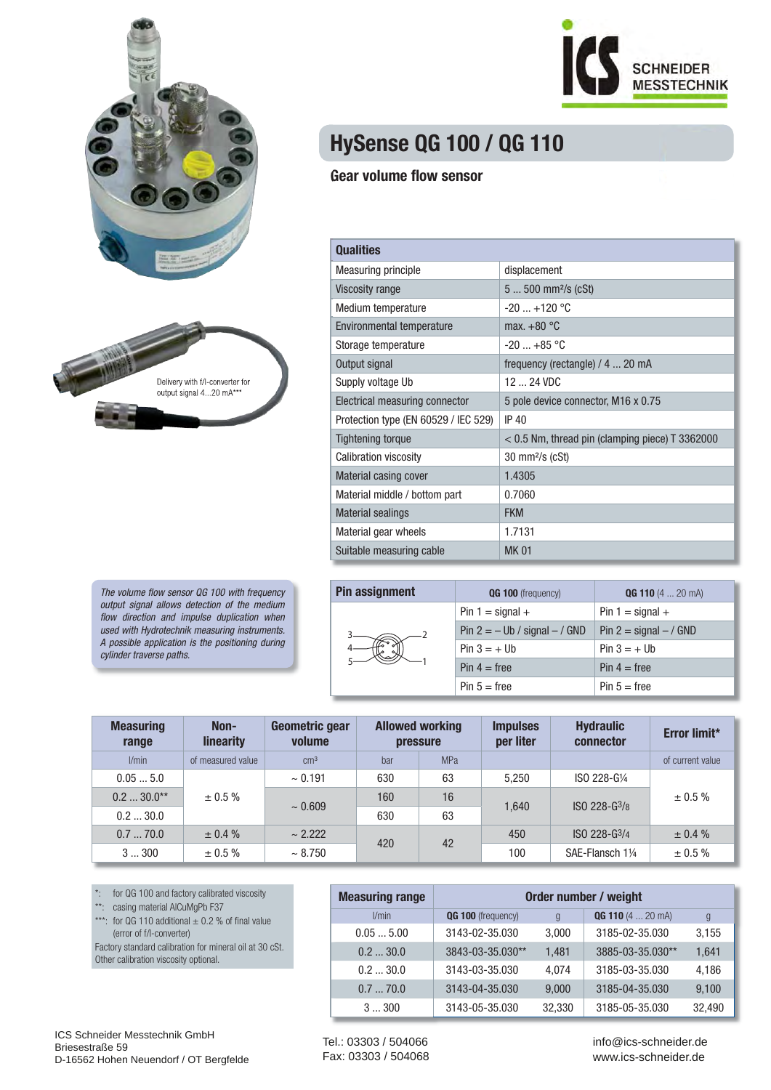



The volume flow sensor QG 100 with frequency output signal allows detection of the medium flow direction and impulse duplication when used with Hydrotechnik measuring instruments. A possible application is the positioning during cylinder traverse paths.



## **HySense QG 100 / QG 110**

## **Gear volume flow sensor**

| <b>Qualities</b>                     |                                                   |
|--------------------------------------|---------------------------------------------------|
| <b>Measuring principle</b>           | displacement                                      |
| Viscosity range                      | $5500$ mm <sup>2</sup> /s (cSt)                   |
| Medium temperature                   | $-20$ $+120$ °C                                   |
| Environmental temperature            | max. $+80^{\circ}$ C                              |
| Storage temperature                  | $-20$ $+85$ °C                                    |
| Output signal                        | frequency (rectangle) / 4  20 mA                  |
| Supply voltage Ub                    | $12 - 24$ VDC                                     |
| Electrical measuring connector       | 5 pole device connector, M16 x 0.75               |
| Protection type (EN 60529 / IEC 529) | IP 40                                             |
| <b>Tightening torque</b>             | $<$ 0.5 Nm, thread pin (clamping piece) T 3362000 |
| <b>Calibration viscosity</b>         | $30 \text{ mm}$ /s (cSt)                          |
| <b>Material casing cover</b>         | 1.4305                                            |
| Material middle / bottom part        | 0.7060                                            |
| <b>Material sealings</b>             | <b>FKM</b>                                        |
| Material gear wheels                 | 1.7131                                            |
| Suitable measuring cable             | <b>MK01</b>                                       |

| <b>Pin assignment</b> | QG 100 (frequency)                | <b>QG 110</b> $(4 \dots 20 \text{ mA})$ |  |  |
|-----------------------|-----------------------------------|-----------------------------------------|--|--|
|                       | Pin $1 =$ signal $+$              | Pin $1 =$ signal $+$                    |  |  |
|                       | Pin $2 = -$ Ub / signal $-$ / GND | Pin $2 =$ signal $- /$ GND              |  |  |
|                       | $Pin 3 = + Ub$                    | $Pin 3 = + Ub$                          |  |  |
|                       | $Pin 4 = free$                    | $Pin 4 = free$                          |  |  |
|                       | $Pin 5 = free$                    | $Pin 5 = free$                          |  |  |

| <b>Measuring</b><br>range | Non-<br>linearity | Geometric gear<br>volume | <b>Allowed working</b><br><b>pressure</b> |                 | <b>Impulses</b><br>per liter | <b>Hydraulic</b><br>connector | Error limit*     |              |
|---------------------------|-------------------|--------------------------|-------------------------------------------|-----------------|------------------------------|-------------------------------|------------------|--------------|
| l/min                     | of measured value | $\rm cm^3$               | bar                                       | MP <sub>a</sub> |                              |                               | of current value |              |
| 0.055.0                   | $\pm 0.5 \%$      | $\sim 0.191$             | 630                                       | 63              | 5.250                        | ISO 228-G1/4                  |                  |              |
| $0.2$ 30.0**              |                   |                          | $\sim 0.609$                              | 160             | 16                           |                               | ISO 228-G3/8     | $\pm 0.5 \%$ |
| 0.230.0                   |                   |                          | 630                                       | 63              | 1.640                        |                               |                  |              |
| 0.770.0                   | $\pm 0.4 \%$      | $\sim 2.222$             | 420                                       | 42              | 450                          | ISO 228-G3/4                  | $\pm 0.4 \%$     |              |
| 3300                      | $\pm 0.5 \%$      | $~\sim 8.750$            |                                           |                 | 100                          | SAE-Flansch 11/4              | $\pm 0.5 \%$     |              |

\*: for QG 100 and factory calibrated viscosity

\*\*: casing material AlCuMgPb F37

\*\*\*: for QG 110 additional  $\pm$  0.2 % of final value (error of f/I-converter) Factory standard calibration for mineral oil at 30 cSt.

Other calibration viscosity optional.

| <b>Measuring range</b> | Order number / weight |        |                     |        |  |
|------------------------|-----------------------|--------|---------------------|--------|--|
| l/min                  | QG 100 (frequency)    | g      | $QG$ 110 (4  20 mA) | g      |  |
| 0.055.00               | 3143-02-35.030        | 3,000  | 3185-02-35.030      | 3,155  |  |
| 0.230.0                | 3843-03-35.030**      | 1,481  | 3885-03-35.030**    | 1,641  |  |
| 0.230.0                | 3143-03-35.030        | 4,074  | 3185-03-35.030      | 4,186  |  |
| 0.770.0                | 3143-04-35.030        | 9,000  | 3185-04-35.030      | 9,100  |  |
| 3300                   | 3143-05-35.030        | 32,330 | 3185-05-35.030      | 32,490 |  |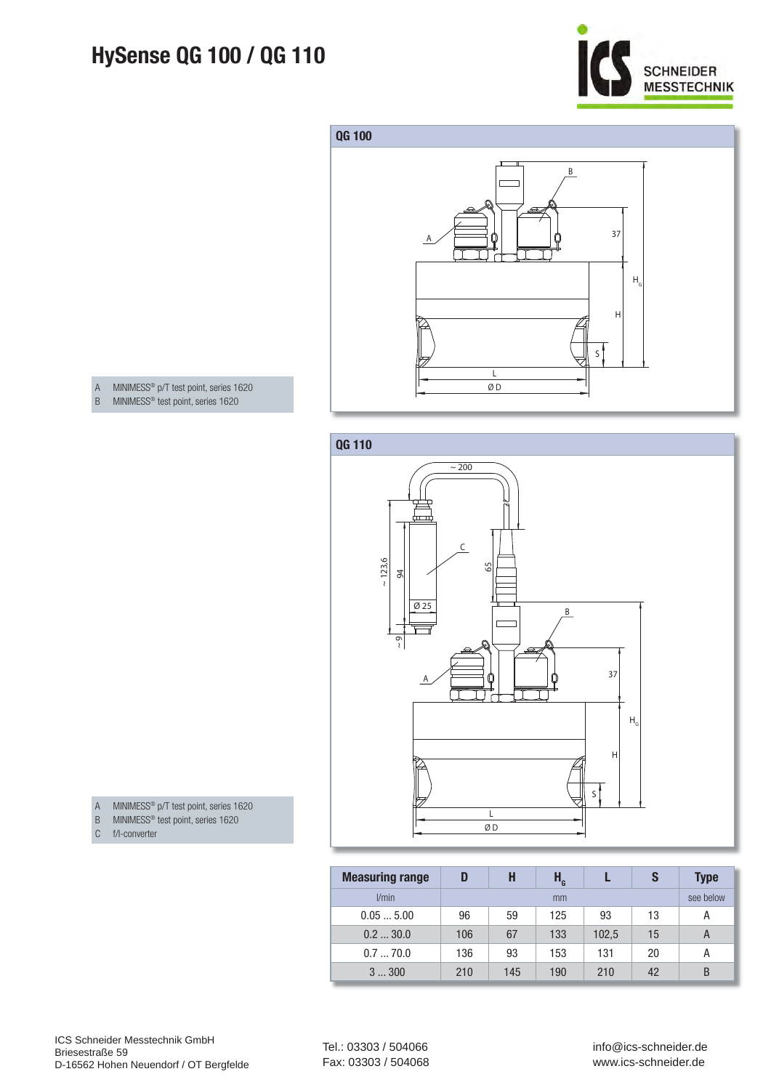## **HySense QG 100 / QG 110**





A MINIMESS® p/T test point, series 1620 B MINIMESS® test point, series 1620



- A MINIMESS® p/T test point, series 1620
- B MINIMESS<sup>®</sup> test point, series 1620
- C f/I-converter

| <b>Measuring range</b> | D   | H   | $H_{\rm G}$ |       | S  | <b>Type</b> |
|------------------------|-----|-----|-------------|-------|----|-------------|
| l/min                  |     |     | mm          |       |    | see below   |
| 0.055.00               | 96  | 59  | 125         | 93    | 13 | А           |
| 0.230.0                | 106 | 67  | 133         | 102,5 | 15 | A           |
| 0.770.0                | 136 | 93  | 153         | 131   | 20 | А           |
| 3300                   | 210 | 145 | 190         | 210   | 42 | B           |